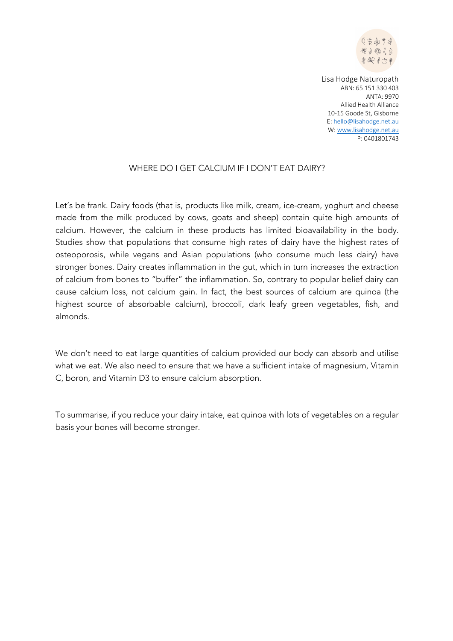

## WHERE DO I GET CALCIUM IF I DON'T EAT DAIRY?

Let's be frank. Dairy foods (that is, products like milk, cream, ice-cream, yoghurt and cheese made from the milk produced by cows, goats and sheep) contain quite high amounts of calcium. However, the calcium in these products has limited bioavailability in the body. Studies show that populations that consume high rates of dairy have the highest rates of osteoporosis, while vegans and Asian populations (who consume much less dairy) have stronger bones. Dairy creates inflammation in the gut, which in turn increases the extraction of calcium from bones to "buffer" the inflammation. So, contrary to popular belief dairy can cause calcium loss, not calcium gain. In fact, the best sources of calcium are quinoa (the highest source of absorbable calcium), broccoli, dark leafy green vegetables, fish, and almonds.

We don't need to eat large quantities of calcium provided our body can absorb and utilise what we eat. We also need to ensure that we have a sufficient intake of magnesium, Vitamin C, boron, and Vitamin D3 to ensure calcium absorption.

To summarise, if you reduce your dairy intake, eat quinoa with lots of vegetables on a regular basis your bones will become stronger.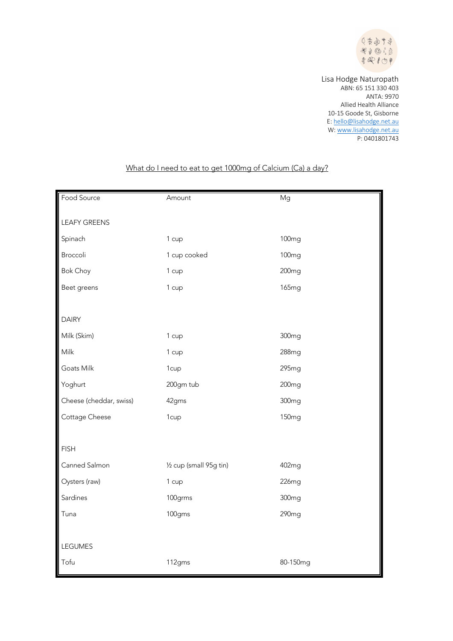

| Food Source             | Amount                  | Mg                |
|-------------------------|-------------------------|-------------------|
|                         |                         |                   |
| <b>LEAFY GREENS</b>     |                         |                   |
| Spinach                 | 1 cup                   | <b>100mg</b>      |
| Broccoli                | 1 cup cooked            | 100 <sub>mg</sub> |
| <b>Bok Choy</b>         | 1 cup                   | 200 <sub>mg</sub> |
| Beet greens             | 1 cup                   | <b>165mg</b>      |
|                         |                         |                   |
| <b>DAIRY</b>            |                         |                   |
| Milk (Skim)             | 1 cup                   | 300 <sub>mg</sub> |
| Milk                    | 1 cup                   | 288mg             |
| Goats Milk              | 1cup                    | 295mg             |
| Yoghurt                 | 200gm tub               | 200 <sub>mg</sub> |
| Cheese (cheddar, swiss) | 42gms                   | 300 <sub>mg</sub> |
| Cottage Cheese          | 1cup                    | 150 <sub>mg</sub> |
|                         |                         |                   |
| <b>FISH</b>             |                         |                   |
| Canned Salmon           | 1/2 cup (small 95g tin) | 402mg             |
| Oysters (raw)           | 1 cup                   | 226mg             |
| Sardines                | 100grms                 | 300 <sub>mg</sub> |
| Tuna                    | 100gms                  | 290mg             |
|                         |                         |                   |
| LEGUMES                 |                         |                   |
| Tofu                    | 112gms                  | 80-150mg          |

## What do I need to eat to get 1000mg of Calcium (Ca) a day?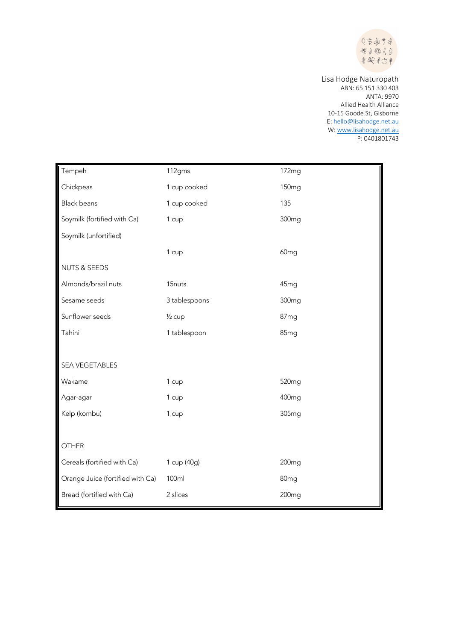

| Tempeh                           | 112gms             | 172mg             |
|----------------------------------|--------------------|-------------------|
| Chickpeas                        | 1 cup cooked       | 150 <sub>mg</sub> |
| <b>Black beans</b>               | 1 cup cooked       | 135               |
| Soymilk (fortified with Ca)      | 1 cup              | 300 <sub>mg</sub> |
| Soymilk (unfortified)            |                    |                   |
|                                  | 1 cup              | 60 <sub>mg</sub>  |
| <b>NUTS &amp; SEEDS</b>          |                    |                   |
| Almonds/brazil nuts              | 15 <sub>nuts</sub> | 45mg              |
| Sesame seeds                     | 3 tablespoons      | 300 <sub>mg</sub> |
| Sunflower seeds                  | $\frac{1}{2}$ cup  | 87mg              |
| Tahini                           | 1 tablespoon       | 85mg              |
|                                  |                    |                   |
| <b>SEA VEGETABLES</b>            |                    |                   |
| Wakame                           | 1 cup              | 520 <sub>mg</sub> |
| Agar-agar                        | 1 cup              | 400mg             |
| Kelp (kombu)                     | 1 cup              | 305 <sub>mg</sub> |
|                                  |                    |                   |
| <b>OTHER</b>                     |                    |                   |
| Cereals (fortified with Ca)      | 1 cup (40g)        | 200 <sub>mg</sub> |
| Orange Juice (fortified with Ca) | 100ml              | 80 <sub>mg</sub>  |
| Bread (fortified with Ca)        | 2 slices           | 200 <sub>mg</sub> |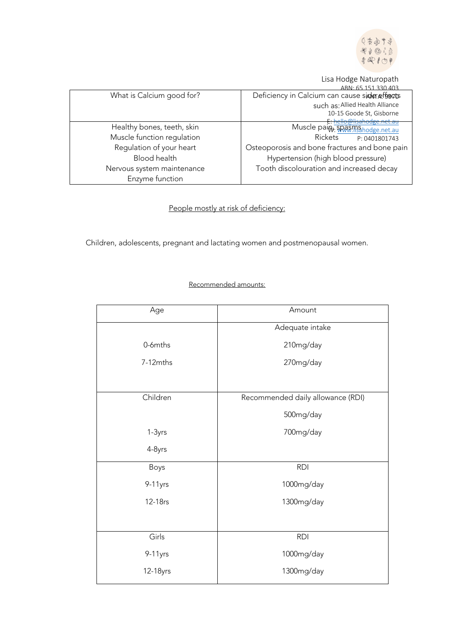

Lisa Hodge Naturopath

|                            | 330.403<br>ARN: 65 151                        |
|----------------------------|-----------------------------------------------|
| What is Calcium good for?  | Deficiency in Calcium can cause side efforts  |
|                            | such as: Allied Health Alliance               |
|                            | 10-15 Goode St, Gisborne                      |
|                            | <del>isahodge.net.au</del>                    |
| Healthy bones, teeth, skin | Muscle pain: SPASMS hodge.net.au              |
| Muscle function regulation | Rickets<br>P: 0401801743                      |
| Regulation of your heart   | Osteoporosis and bone fractures and bone pain |
| <b>Blood health</b>        | Hypertension (high blood pressure)            |
| Nervous system maintenance | Tooth discolouration and increased decay      |
| Enzyme function            |                                               |

People mostly at risk of deficiency:

Children, adolescents, pregnant and lactating women and postmenopausal women.

## Recommended amounts:

| Age      | Amount                            |
|----------|-----------------------------------|
|          | Adequate intake                   |
| 0-6mths  | 210mg/day                         |
| 7-12mths | 270mg/day                         |
|          |                                   |
| Children | Recommended daily allowance (RDI) |
|          | 500mg/day                         |
| 1-3yrs   | 700mg/day                         |
| 4-8yrs   |                                   |
| Boys     | <b>RDI</b>                        |
| 9-11yrs  | 1000mg/day                        |
| 12-18rs  | 1300mg/day                        |
|          |                                   |
| Girls    | <b>RDI</b>                        |
| 9-11yrs  | 1000mg/day                        |
| 12-18yrs | 1300mg/day                        |